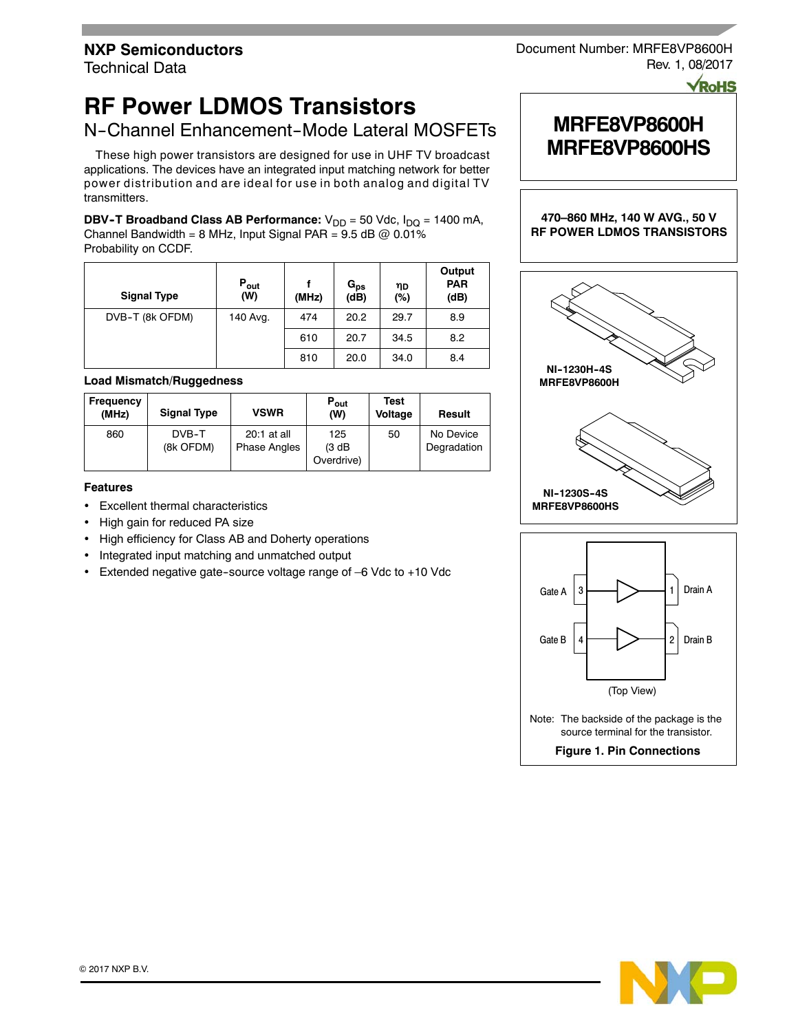Technical Data

# **RF Power LDMOS Transistors**

N-Channel Enhancement-Mode Lateral MOSFETs

These high power transistors are designed for use in UHF TV broadcast applications. The devices have an integrated input matching network for better power distribution and are ideal for use in both analog and digital TV transmitters.

**DBV-T Broadband Class AB Performance:** V<sub>DD</sub> = 50 Vdc, I<sub>DQ</sub> = 1400 mA, Channel Bandwidth = 8 MHz, Input Signal PAR =  $9.5$  dB  $@$  0.01% Probability on CCDF.

| <b>Signal Type</b> | $P_{\mathsf{out}}$<br>(W) | (MHz) | $G_{ps}$<br>(dB) | ηD<br>(%) | Output<br><b>PAR</b><br>(dB) |
|--------------------|---------------------------|-------|------------------|-----------|------------------------------|
| DVB-T (8k OFDM)    | 140 Avg.                  | 474   | 20.2             | 29.7      | 8.9                          |
|                    |                           | 610   | 20.7             | 34.5      | 8.2                          |
|                    |                           | 810   | 20.0             | 34.0      | 8.4                          |

### **Load Mismatch/Ruggedness**

| <b>Frequency</b><br>(MHz) | <b>Signal Type</b> | <b>VSWR</b>                        | $P_{\text{out}}$<br>(W)     | Test<br>Voltage | Result                   |
|---------------------------|--------------------|------------------------------------|-----------------------------|-----------------|--------------------------|
| 860                       | DVB-T<br>(8k OFDM) | 20:1 at all<br><b>Phase Angles</b> | 125<br>(3 dB)<br>Overdrive) | 50              | No Device<br>Degradation |

### **Features**

- Excellent thermal characteristics
- High gain for reduced PA size
- High efficiency for Class AB and Doherty operations
- Integrated input matching and unmatched output
- Extended negative gate-source voltage range of -6 Vdc to +10 Vdc

## Document Number: MRFE8VP8600H Rev. 1, 08/2017

**PoHS** 







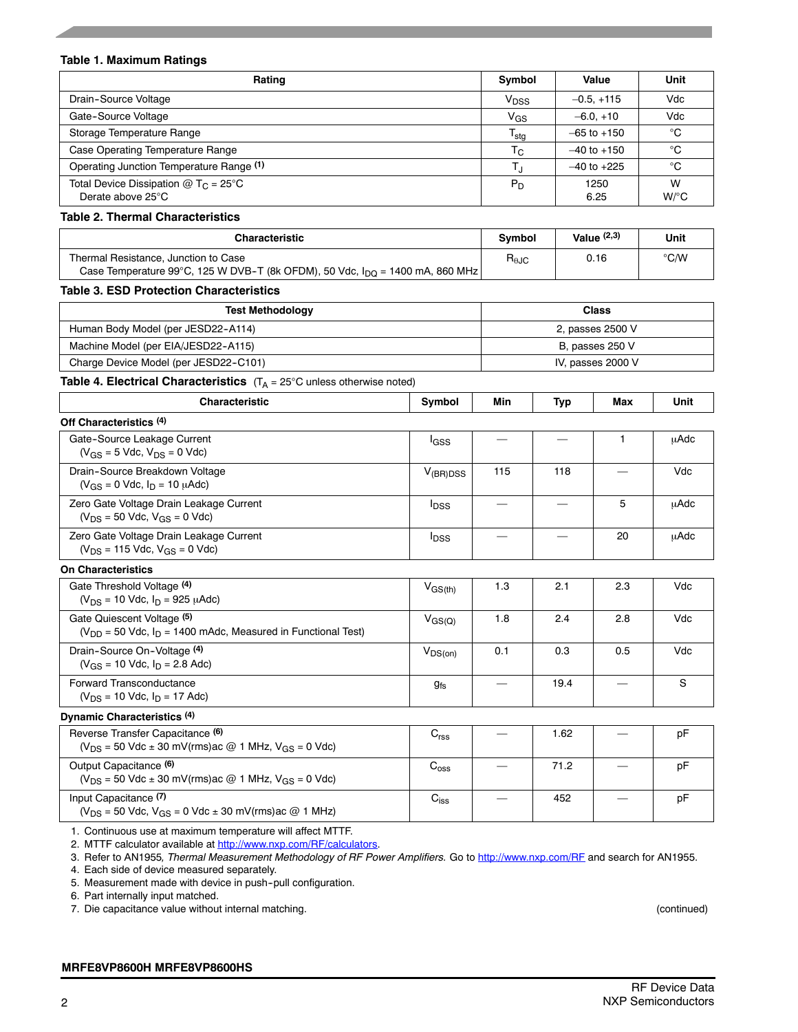| <b>Table 1. Maximum Ratings</b>                                                                                                  |                                   |                                |                                  |                 |               |
|----------------------------------------------------------------------------------------------------------------------------------|-----------------------------------|--------------------------------|----------------------------------|-----------------|---------------|
| Rating                                                                                                                           |                                   | Symbol                         |                                  | Value           | Unit          |
| Drain-Source Voltage                                                                                                             |                                   | V <sub>DSS</sub>               |                                  | $-0.5, +115$    | Vdc           |
| Gate-Source Voltage                                                                                                              |                                   | $V_{GS}$                       |                                  | $-6.0, +10$     | Vdc           |
| Storage Temperature Range                                                                                                        |                                   | $T_{\text{stg}}$               |                                  | $-65$ to $+150$ | °C            |
| Case Operating Temperature Range                                                                                                 |                                   | $T_{\rm C}$                    |                                  | $-40$ to $+150$ | °C            |
| Operating Junction Temperature Range (1)                                                                                         |                                   |                                |                                  | $-40$ to $+225$ | °C            |
| Total Device Dissipation $@$ T <sub>C</sub> = 25°C<br>Derate above 25°C                                                          |                                   | $P_D$                          |                                  | 1250<br>6.25    | W<br>$W$ /°C  |
| Table 2. Thermal Characteristics                                                                                                 |                                   |                                |                                  |                 |               |
| <b>Characteristic</b>                                                                                                            |                                   | Symbol                         |                                  | Value $(2,3)$   | Unit          |
| Thermal Resistance, Junction to Case<br>Case Temperature 99°C, 125 W DVB-T (8k OFDM), 50 Vdc, $I_{\text{DQ}}$ = 1400 mA, 860 MHz |                                   | $R_{\theta \text{JC}}$         |                                  | 0.16            | $\degree$ C/W |
| <b>Table 3. ESD Protection Characteristics</b>                                                                                   |                                   |                                |                                  |                 |               |
| <b>Test Methodology</b>                                                                                                          |                                   |                                |                                  | <b>Class</b>    |               |
| Human Body Model (per JESD22-A114)                                                                                               |                                   | 2, passes 2500 V               |                                  |                 |               |
| Machine Model (per EIA/JESD22-A115)                                                                                              |                                   | B, passes 250 V                |                                  |                 |               |
| Charge Device Model (per JESD22-C101)                                                                                            | IV, passes 2000 V                 |                                |                                  |                 |               |
| <b>Table 4. Electrical Characteristics</b> $(T_A = 25^{\circ}C \text{ unless otherwise noted})$                                  |                                   |                                |                                  |                 |               |
| <b>Characteristic</b>                                                                                                            | Symbol                            | Min                            | <b>Typ</b>                       | Max             | Unit          |
| Off Characteristics (4)                                                                                                          |                                   |                                |                                  |                 |               |
| Gate-Source Leakage Current<br>$(V_{GS} = 5$ Vdc, $V_{DS} = 0$ Vdc)                                                              | $I_{GSS}$                         |                                |                                  | $\mathbf{1}$    | <b>µAdc</b>   |
| Drain-Source Breakdown Voltage<br>$(V_{GS} = 0$ Vdc, $I_D = 10$ $\mu$ Adc)                                                       | $V_{(BR)DSS}$                     | 115                            | 118                              |                 | Vdc           |
| Zero Gate Voltage Drain Leakage Current<br>$(V_{DS} = 50$ Vdc, $V_{GS} = 0$ Vdc)                                                 | $I_{DSS}$                         | $\overline{\phantom{0}}$       | $\qquad \qquad \longleftarrow$   | 5               | μAdc          |
| Zero Gate Voltage Drain Leakage Current<br>$(V_{DS} = 115$ Vdc, $V_{GS} = 0$ Vdc)                                                | <b>I</b> <sub>DSS</sub>           |                                | $\overline{\phantom{0}}$         | 20              | μAdc          |
| <b>On Characteristics</b>                                                                                                        |                                   |                                |                                  |                 |               |
| Gate Threshold Voltage (4)<br>$(V_{DS} = 10$ Vdc, $I_D = 925$ $\mu$ Adc)                                                         | $V_{GS(th)}$                      | 1.3                            | 2.1                              | 2.3             | Vdc           |
| Gate Quiescent Voltage (5)<br>$(V_{DD} = 50$ Vdc, $I_D = 1400$ mAdc, Measured in Functional Test)                                | 1.8<br>2.4<br>$V_{GS(Q)}$         |                                |                                  | 2.8             | Vdc           |
| Drain-Source On-Voltage (4)<br>$(V_{GS} = 10$ Vdc, $I_D = 2.8$ Adc)                                                              | 0.1<br>0.3<br>0.5<br>$V_{DS(on)}$ |                                |                                  | Vdc             |               |
| Forward Transconductance<br>$(V_{DS} = 10$ Vdc, $I_D = 17$ Adc)                                                                  | <b>gfs</b>                        | $\qquad \qquad \longleftarrow$ | 19.4<br>$\overline{\phantom{0}}$ |                 | S             |
| Dynamic Characteristics (4)                                                                                                      |                                   |                                |                                  |                 |               |
| Reverse Transfer Capacitance (6)<br>( $V_{DS}$ = 50 Vdc ± 30 mV(rms)ac @ 1 MHz, $V_{GS}$ = 0 Vdc)                                | C <sub>rss</sub>                  |                                | 1.62                             |                 | рF            |
| Output Capacitance (6)<br>( $V_{DS}$ = 50 Vdc ± 30 mV(rms)ac @ 1 MHz, $V_{GS}$ = 0 Vdc)                                          | $\mathrm{C_{oss}}$                |                                | 71.2                             |                 | рF            |
| Input Capacitance (7)<br>( $V_{DS}$ = 50 Vdc, $V_{GS}$ = 0 Vdc ± 30 mV(rms) ac @ 1 MHz)                                          | $\mathrm{C}_{\text{iss}}$         |                                | 452                              |                 | pF            |

1. Continuous use at maximum temperature will affect MTTF.

2. MTTF calculator available at http://www.nxp.com/RF/calculators.

3. Refer to AN1955*, Thermal Measurement Methodology of RF Power Amplifiers.* Go to http://www.nxp.com/RF and search for AN1955.

4. Each side of device measured separately.

5. Measurement made with device in push--pull configuration.

6. Part internally input matched.

7. Die capacitance value without internal matching. (continued)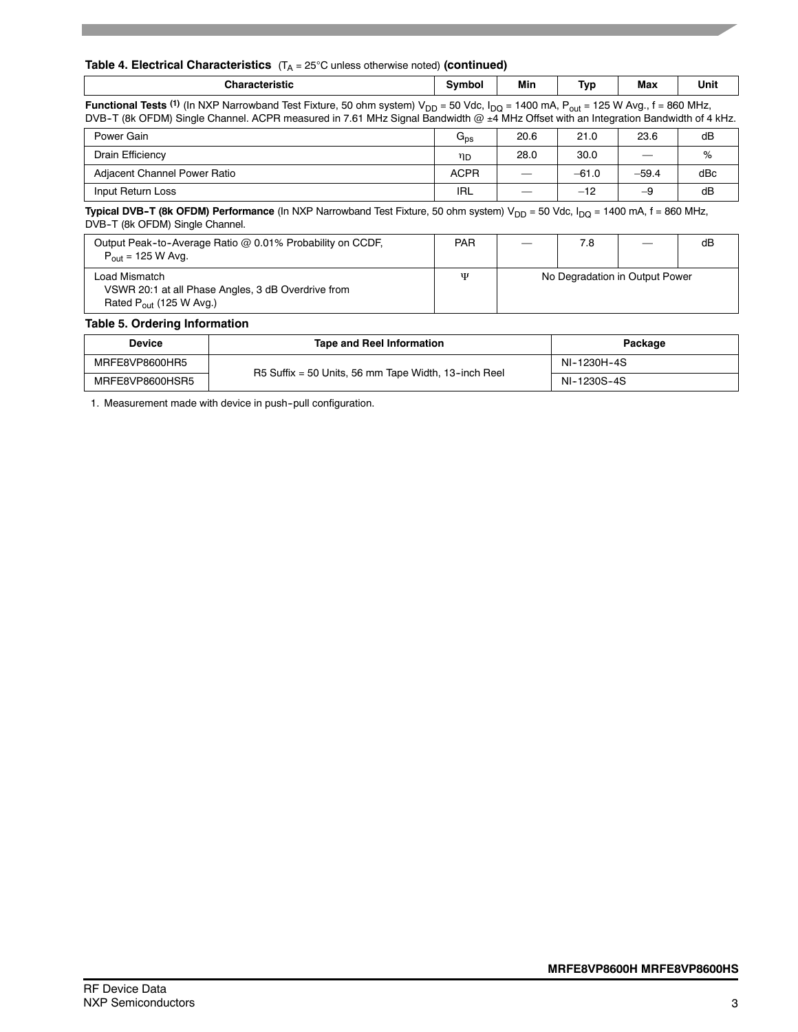|                                                                                                                                                                                                                                                                                               |                 |                     |                                |         | <b>Table 4. Electrical Characteristics</b> $(T_A = 25^{\circ}C \text{ unless otherwise noted})$ (continued) |  |  |  |  |  |  |  |  |  |  |
|-----------------------------------------------------------------------------------------------------------------------------------------------------------------------------------------------------------------------------------------------------------------------------------------------|-----------------|---------------------|--------------------------------|---------|-------------------------------------------------------------------------------------------------------------|--|--|--|--|--|--|--|--|--|--|
| <b>Characteristic</b>                                                                                                                                                                                                                                                                         | Symbol          | Min                 | Typ                            | Max     | Unit                                                                                                        |  |  |  |  |  |  |  |  |  |  |
| <b>Functional Tests (1)</b> (In NXP Narrowband Test Fixture, 50 ohm system) $V_{DD}$ = 50 Vdc, $I_{DQ}$ = 1400 mA, $P_{out}$ = 125 W Avg., f = 860 MHz,<br>DVB-T (8k OFDM) Single Channel. ACPR measured in 7.61 MHz Signal Bandwidth @ ±4 MHz Offset with an Integration Bandwidth of 4 kHz. |                 |                     |                                |         |                                                                                                             |  |  |  |  |  |  |  |  |  |  |
| Power Gain                                                                                                                                                                                                                                                                                    | $G_{\text{ps}}$ | 20.6                | 21.0                           | 23.6    | dB                                                                                                          |  |  |  |  |  |  |  |  |  |  |
| Drain Efficiency                                                                                                                                                                                                                                                                              | ηD              | 28.0                | 30.0                           |         | %                                                                                                           |  |  |  |  |  |  |  |  |  |  |
| Adjacent Channel Power Ratio                                                                                                                                                                                                                                                                  | <b>ACPR</b>     |                     | $-61.0$                        | $-59.4$ | dBc                                                                                                         |  |  |  |  |  |  |  |  |  |  |
| Input Return Loss                                                                                                                                                                                                                                                                             | IRL             | $-12$<br>dB<br>$-9$ |                                |         |                                                                                                             |  |  |  |  |  |  |  |  |  |  |
| <b>Typical DVB-T (8k OFDM) Performance</b> (In NXP Narrowband Test Fixture, 50 ohm system) $V_{DD}$ = 50 Vdc, $I_{DD}$ = 1400 mA, f = 860 MHz,<br>DVB-T (8k OFDM) Single Channel.                                                                                                             |                 |                     |                                |         |                                                                                                             |  |  |  |  |  |  |  |  |  |  |
| Output Peak-to-Average Ratio @ 0.01% Probability on CCDF,<br>$P_{out}$ = 125 W Avg.                                                                                                                                                                                                           | <b>PAR</b>      |                     | 7.8                            |         | dB                                                                                                          |  |  |  |  |  |  |  |  |  |  |
| Load Mismatch<br>VSWR 20:1 at all Phase Angles, 3 dB Overdrive from<br>Rated $P_{out}$ (125 W Avg.)                                                                                                                                                                                           | Ψ               |                     | No Degradation in Output Power |         |                                                                                                             |  |  |  |  |  |  |  |  |  |  |

### **Table 5. Ordering Information**

| Device          | Tape and Reel Information                            | Package     |
|-----------------|------------------------------------------------------|-------------|
| MRFE8VP8600HR5  | R5 Suffix = 50 Units, 56 mm Tape Width, 13-inch Reel | NI-1230H-4S |
| MRFE8VP8600HSR5 |                                                      | NI-1230S-4S |

1. Measurement made with device in push-pull configuration.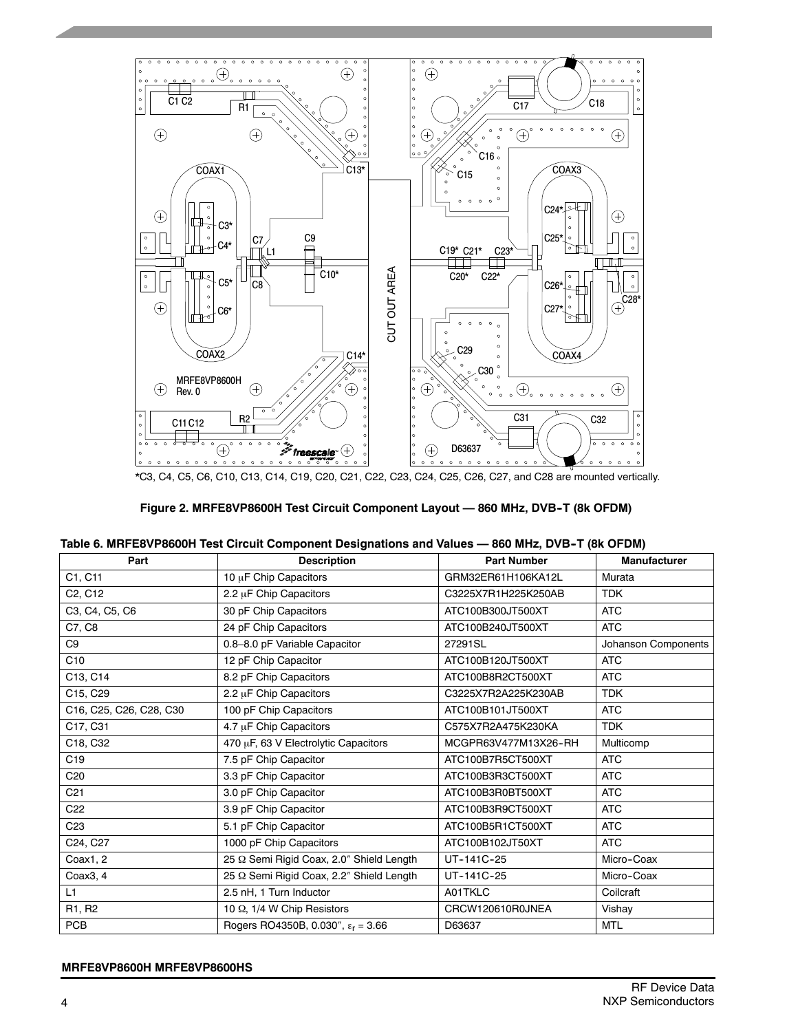

\*C3, C4, C5, C6, C10, C13, C14, C19, C20, C21, C22, C23, C24, C25, C26, C27, and C28 are mounted vertically.

| Figure 2. MRFE8VP8600H Test Circuit Component Layout - 860 MHz, DVB-T (8k OFDM) |
|---------------------------------------------------------------------------------|
|---------------------------------------------------------------------------------|

|  | Table 6. MRFE8VP8600H Test Circuit Component Designations and Values - 860 MHz, DVB-T (8k OFDM) |
|--|-------------------------------------------------------------------------------------------------|
|  |                                                                                                 |

| Part                             | <b>Description</b>                          | <b>Part Number</b>   | <b>Manufacturer</b> |
|----------------------------------|---------------------------------------------|----------------------|---------------------|
| C1, C11                          | 10 µF Chip Capacitors                       | GRM32ER61H106KA12L   | Murata              |
| C <sub>2</sub> , C <sub>12</sub> | 2.2 µF Chip Capacitors                      | C3225X7R1H225K250AB  | <b>TDK</b>          |
| C3, C4, C5, C6                   | 30 pF Chip Capacitors                       | ATC100B300JT500XT    | <b>ATC</b>          |
| C7, C8                           | 24 pF Chip Capacitors                       | ATC100B240JT500XT    | <b>ATC</b>          |
| C <sub>9</sub>                   | 0.8-8.0 pF Variable Capacitor               | 27291SL              | Johanson Components |
| C10                              | 12 pF Chip Capacitor                        | ATC100B120JT500XT    | <b>ATC</b>          |
| C13, C14                         | 8.2 pF Chip Capacitors                      | ATC100B8R2CT500XT    | <b>ATC</b>          |
| C15, C29                         | 2.2 µF Chip Capacitors                      | C3225X7R2A225K230AB  | <b>TDK</b>          |
| C16, C25, C26, C28, C30          | 100 pF Chip Capacitors                      | ATC100B101JT500XT    | <b>ATC</b>          |
| C17, C31                         | 4.7 µF Chip Capacitors                      | C575X7R2A475K230KA   | <b>TDK</b>          |
| C18, C32                         | 470 µF, 63 V Electrolytic Capacitors        | MCGPR63V477M13X26-RH | Multicomp           |
| C <sub>19</sub>                  | 7.5 pF Chip Capacitor                       | ATC100B7R5CT500XT    | <b>ATC</b>          |
| C <sub>20</sub>                  | 3.3 pF Chip Capacitor                       | ATC100B3R3CT500XT    | <b>ATC</b>          |
| C <sub>21</sub>                  | 3.0 pF Chip Capacitor                       | ATC100B3R0BT500XT    | <b>ATC</b>          |
| C <sub>22</sub>                  | 3.9 pF Chip Capacitor                       | ATC100B3R9CT500XT    | <b>ATC</b>          |
| C <sub>23</sub>                  | 5.1 pF Chip Capacitor                       | ATC100B5R1CT500XT    | <b>ATC</b>          |
| C24, C27                         | 1000 pF Chip Capacitors                     | ATC100B102JT50XT     | <b>ATC</b>          |
| Coax1, 2                         | 25 Q Semi Rigid Coax, 2.0" Shield Length    | UT-141C-25           | Micro-Coax          |
| Coax3, 4                         | 25 Q Semi Rigid Coax, 2.2" Shield Length    | UT-141C-25           | Micro-Coax          |
| L1                               | 2.5 nH, 1 Turn Inductor                     | A01TKLC              | Coilcraft           |
| R <sub>1</sub> , R <sub>2</sub>  | 10 Ω, 1/4 W Chip Resistors                  | CRCW120610R0JNEA     | Vishay              |
| PCB                              | Rogers RO4350B, 0.030", $\epsilon_r$ = 3.66 | D63637               | <b>MTL</b>          |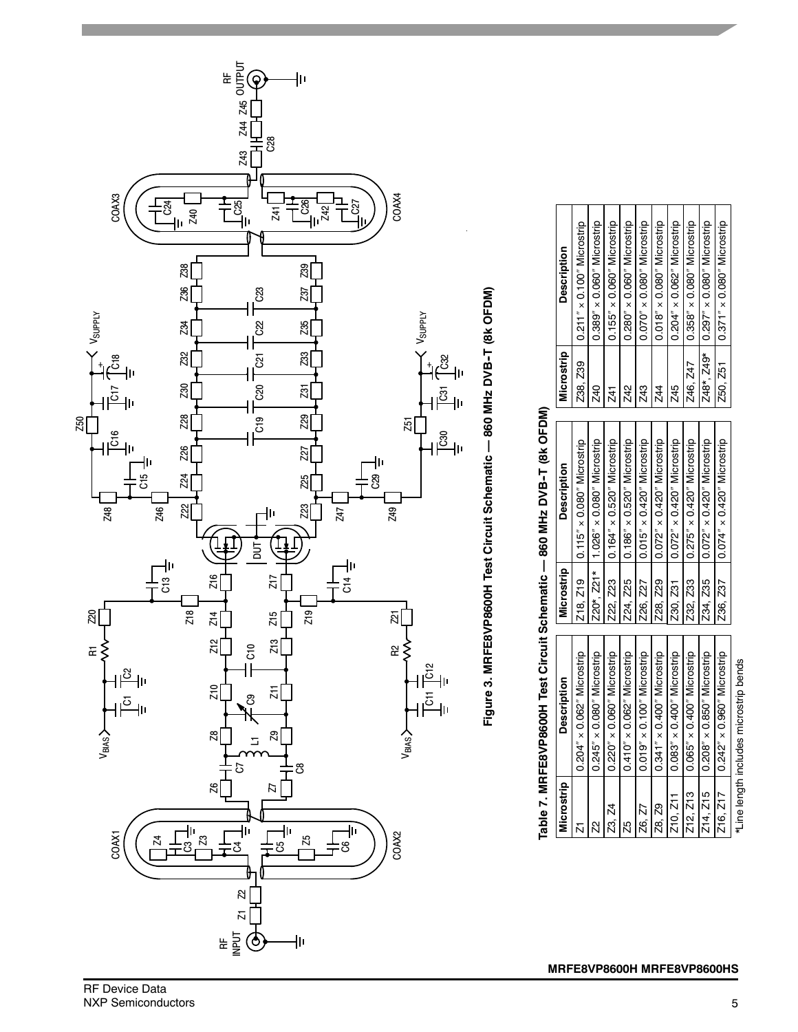

# Figure 3. MRFE8VP8600H Test Circuit Schematic -- 860 MHz DVB-T (8k OFDM) Figure 3. MRFE8VP8600H Test Circuit Schematic — 860 MHz DVB-T (8k OFDM)

# Table 7. MRFE8VP8600H Test Circuit Schematic -- 860 MHz DVB-T (8k OFDM) Table 7. MRFE8VP8600H Test Circuit Schematic — 860 MHz DVB-T (8k OFDM)

 $\Gamma$ 

| Microstrip      | <b>Description</b>                     | Microstrip | <b>Description</b>                      | Microstrip | <b>Description</b>                  |
|-----------------|----------------------------------------|------------|-----------------------------------------|------------|-------------------------------------|
|                 | $0.204'' \times 0.062''$ Microstrip    | 218, 219   | $0.115'' \times 0.080''$ Microstrip     | Z38, Z39   | $0.211'' \times 0.100''$ Microstrip |
| $\mathcal{Z}^2$ | $0.245'' \times 0.080''$ Microstrip    |            | Z20*, Z21*   1.026" × 0.080" Microstrip | Z40        | $0.389'' \times 0.060''$ Microstrip |
| Z3, Z4          | $0.220'' \times 0.060''$ Microstrip    | Z22, Z23   | $0.164'' \times 0.520''$ Microstrip     | Z41        | $0.155'' \times 0.060''$ Microstrip |
| 25              | $0.410'' \times 0.062''$ Microstrip    | Z24, Z25   | $0.186'' \times 0.520''$ Microstrip     | Z42        | $0.280'' \times 0.060''$ Microstrip |
| Z6. Z7          | $0.019'' \times 0.100''$ Microstrip    | Z26. Z27   | $0.015'' \times 0.420''$ Microstrip     | Z43        | $0.070'' \times 0.080''$ Microstrip |
| Z8. Z9          | $0.341'' \times 0.400''$ Microstrip    | Z28, Z29   | $0.072'' \times 0.420''$ Microstrip     | Z44        | $0.018'' \times 0.080''$ Microstrip |
| 210, 211        | $0.083'' \times 0.400''$ Microstrip    | Z30, Z31   | $0.072'' \times 0.420''$ Microstrip     | Z45        | $0.204'' \times 0.062''$ Microstrip |
| Z12, Z13        | $0.065'' \times 0.400''$ Microstrip    | Z32. Z33   | $0.275'' \times 0.420''$ Microstrip     | Z46, Z47   | $0.358'' \times 0.080''$ Microstrip |
| 214, 215        | $0.208'' \times 0.850''$ Microstrip    | 234, 235   | $0.072'' \times 0.420''$ Microstrip     | Z48*, Z49* | $0.297'' \times 0.080''$ Microstrip |
| 216. 217        | $0.242'' \times 0.960''$ Microstrip    | Z36, Z37   | $0.074'' \times 0.420''$ Microstrip     | 250, 251   | $0.371'' \times 0.080''$ Microstrip |
|                 | *Line length includes microstrip bends |            |                                         |            |                                     |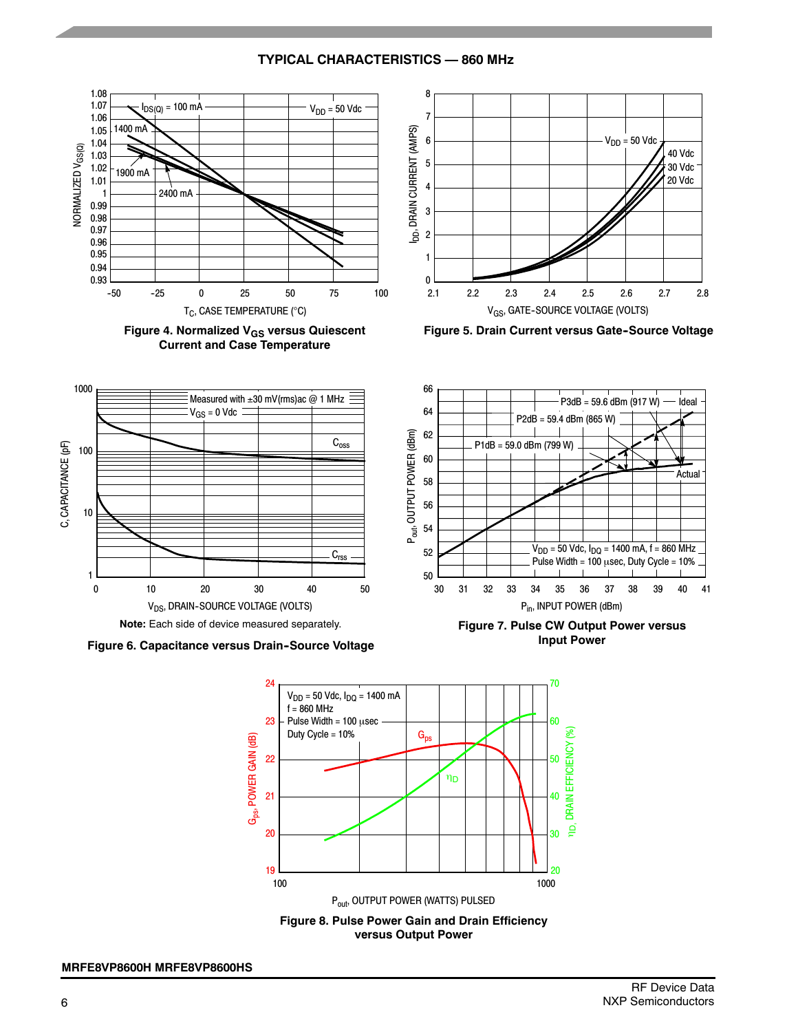





**Figure 5. Drain Current versus Gate-Source Voltage** 



**Figure 6. Capacitance versus Drain--Source Voltage**



**Figure 7. Pulse CW Output Power versus Input Power**



**TYPICAL CHARACTERISTICS — 860 MHz**

RF Device Data NXP Semiconductors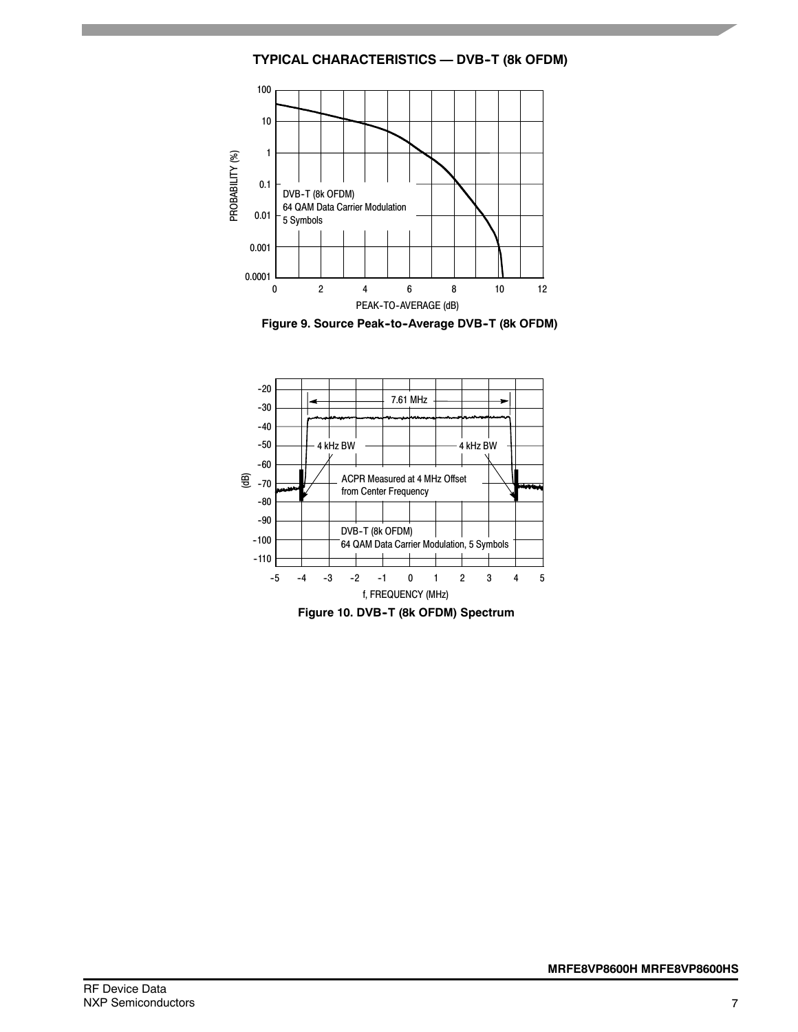



Figure 9. Source Peak-to-Average DVB-T (8k OFDM)



**Figure 10. DVB--T (8k OFDM) Spectrum**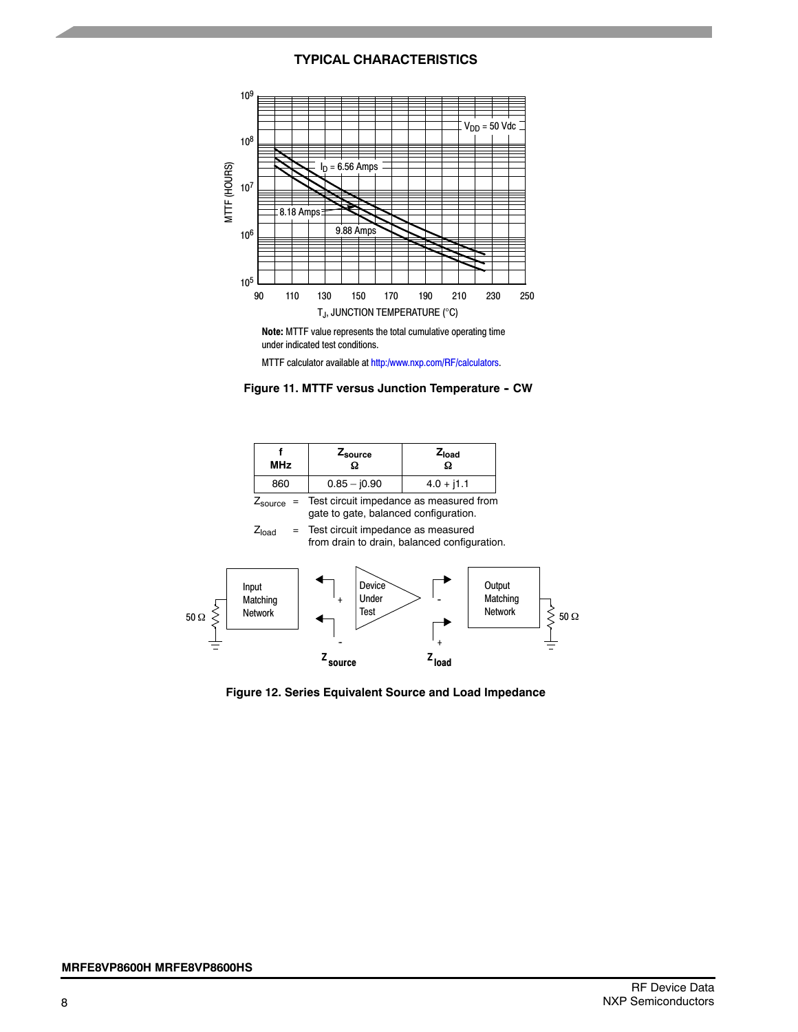### **TYPICAL CHARACTERISTICS**



**Note:** MTTF value represents the total cumulative operating time under indicated test conditions.

MTTF calculator available at http:/www.nxp.com/RF/calculators.



| <b>MHz</b>            | <sup>2</sup> source | z <sub>load</sub>                       |
|-----------------------|---------------------|-----------------------------------------|
| 860                   | $0.85 - 0.90$       | $4.0 + j1.1$                            |
| $Z_{\text{source}}$ = |                     | Test circuit impedance as measured from |

gate to gate, balanced configuration.

 $Z<sub>load</sub>$  = Test circuit impedance as measured from drain to drain, balanced configuration.



**Figure 12. Series Equivalent Source and Load Impedance**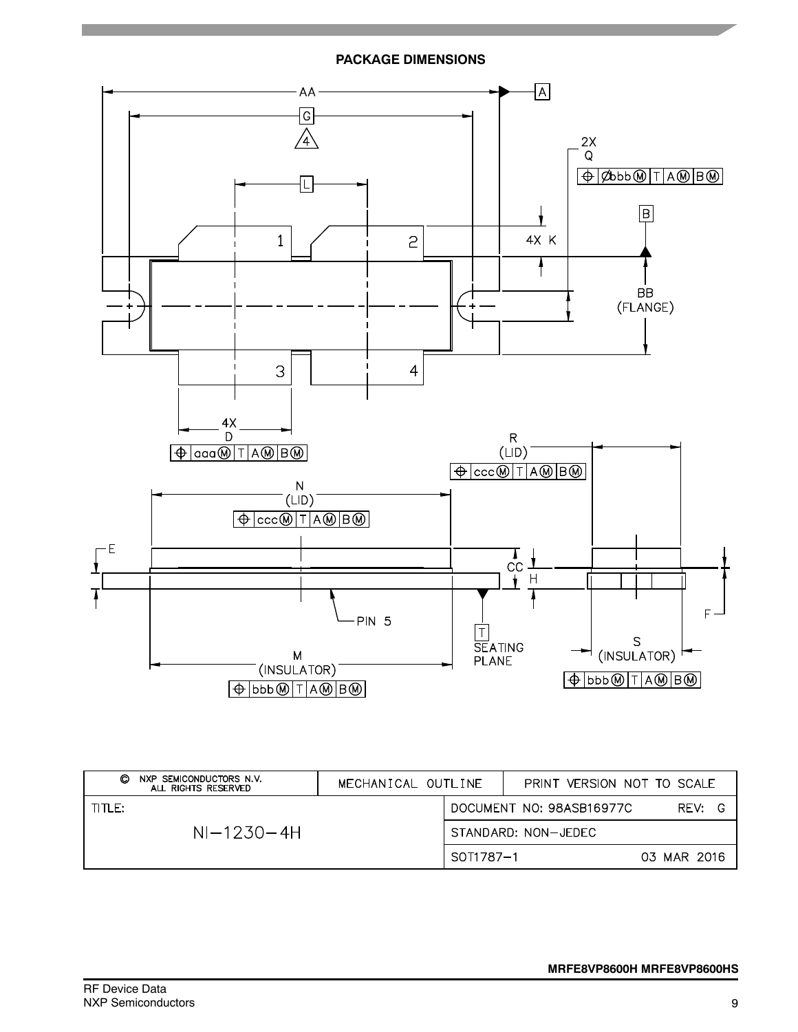



| O<br>NXP SEMICONDUCTORS N.V.<br>ALL RIGHTS RESERVED | MECHANICAL OUTLINE |           |                     | PRINT VERSION NOT TO SCALE |             |   |
|-----------------------------------------------------|--------------------|-----------|---------------------|----------------------------|-------------|---|
| TITLE:                                              |                    |           |                     | DOCUMENT NO: 98ASB16977C   | RFV:        | G |
| $NI-1230-4H$                                        |                    |           | STANDARD: NON-JEDEC |                            |             |   |
|                                                     |                    | SOT1787-1 |                     |                            | 03 MAR 2016 |   |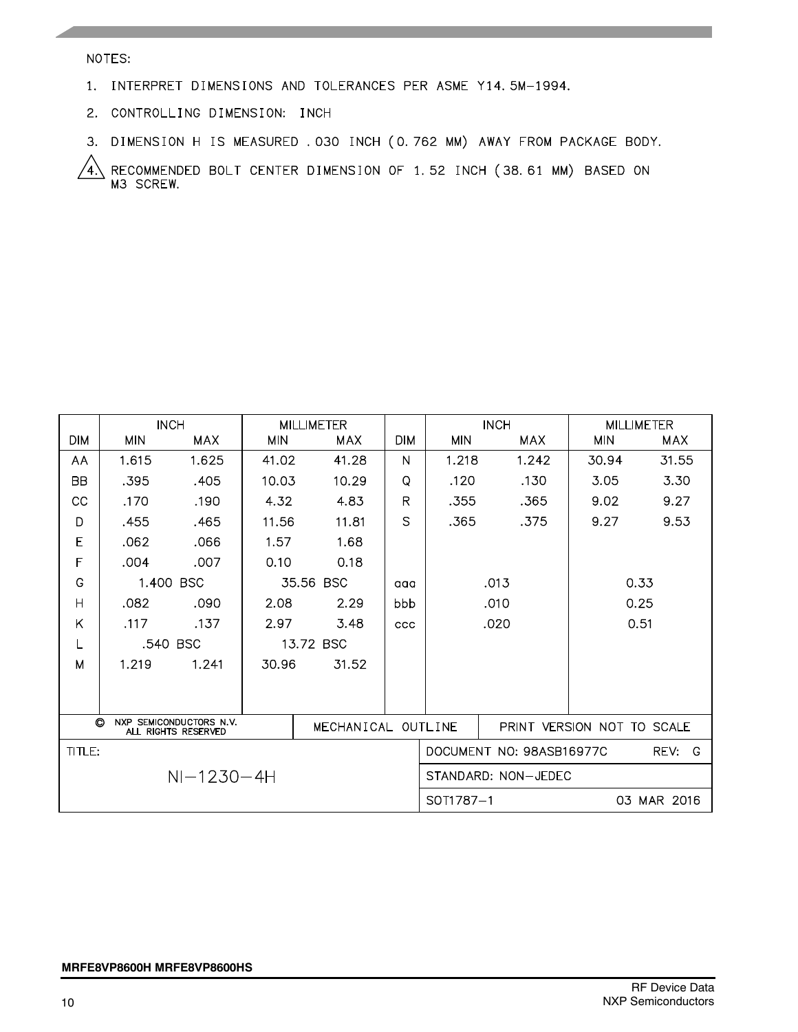### NOTES:

- 1. INTERPRET DIMENSIONS AND TOLERANCES PER ASME Y14.5M-1994.
- 2. CONTROLLING DIMENSION: INCH
- 3. DIMENSION H IS MEASURED . 030 INCH (0.762 MM) AWAY FROM PACKAGE BODY.

4. RECOMMENDED BOLT CENTER DIMENSION OF 1.52 INCH (38.61 MM) BASED ON M3 SCREW.

|                |            | <b>INCH</b>                                    |            | <b>MILLIMETER</b>  |            |              | <b>INCH</b>              |                            | <b>MILLIMETER</b> |  |
|----------------|------------|------------------------------------------------|------------|--------------------|------------|--------------|--------------------------|----------------------------|-------------------|--|
| DIM            | <b>MIN</b> | <b>MAX</b>                                     | <b>MIN</b> | <b>MAX</b>         | <b>DIM</b> | <b>MIN</b>   | <b>MAX</b>               | <b>MIN</b>                 | <b>MAX</b>        |  |
| AA             | 1.615      | 1.625                                          | 41.02      | 41.28              | N          | 1.218        | 1.242                    | 30.94                      | 31.55             |  |
| <b>BB</b>      | .395       | .405                                           | 10.03      | 10.29              | O          | .120         | .130                     | 3.05                       | 3.30              |  |
| CC             | .170       | .190                                           | 4.32       | 4.83               | R          | .355         | .365                     | 9.02                       | 9.27              |  |
| D              | .455       | .465                                           | 11.56      | 11.81              | S          | .365         | .375                     | 9.27                       | 9.53              |  |
| Е              | .062       | .066                                           | 1.57       | 1.68               |            |              |                          |                            |                   |  |
| F              | .004       | .007                                           | 0.10       | 0.18               |            |              |                          |                            |                   |  |
| G              |            | 1.400 BSC                                      |            | 35.56 BSC          | aaa        | 0.33<br>.013 |                          |                            |                   |  |
| $\overline{H}$ | .082       | .090                                           | 2.08       | 2.29               | bbb        | .010         |                          |                            | 0.25              |  |
| K              | .117       | .137                                           | 2.97       | 3.48               | CCC        |              | .020                     |                            | 0.51              |  |
| L              |            | .540 BSC                                       |            | 13.72 BSC          |            |              |                          |                            |                   |  |
| M              | 1.219      | 1.241                                          | 30.96      | 31.52              |            |              |                          |                            |                   |  |
|                |            |                                                |            |                    |            |              |                          |                            |                   |  |
|                |            |                                                |            |                    |            |              |                          |                            |                   |  |
| $\odot$        |            | NXP SEMICONDUCTORS N.V.<br>ALL RIGHTS RESERVED |            | MECHANICAL OUTLINE |            |              |                          | PRINT VERSION NOT TO SCALE |                   |  |
| TITLE:         |            |                                                |            |                    |            |              | DOCUMENT NO: 98ASB16977C |                            | REV:<br>- G       |  |
|                |            | $NI - 1230 - 4H$                               |            |                    |            |              | STANDARD: NON-JEDEC      |                            |                   |  |
|                |            |                                                |            |                    |            | SOT1787-1    |                          | 03                         | MAR 2016          |  |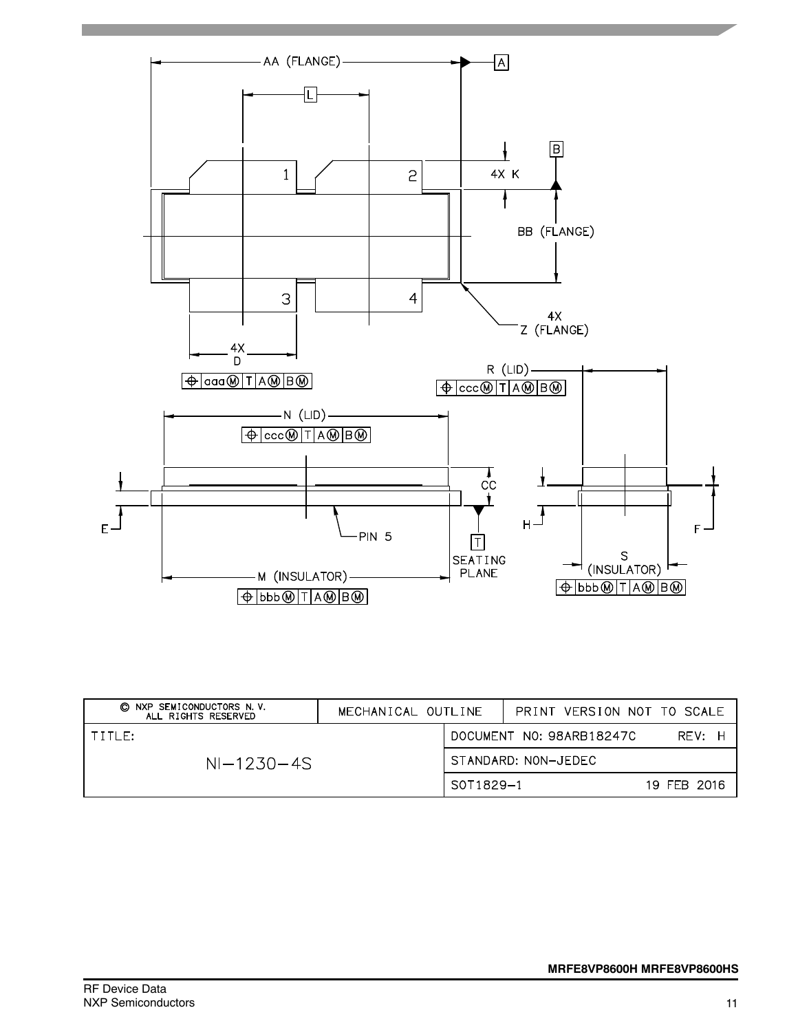

| C NXP SEMICONDUCTORS N.V.<br>ALL RIGHTS RESERVED | MECHANICAL OUTLINE |                          |  | PRINT VERSION NOT TO SCALE |             |
|--------------------------------------------------|--------------------|--------------------------|--|----------------------------|-------------|
| TTITFE                                           |                    | DOCUMENT NO: 98ARB18247C |  |                            | RFV: H      |
| $NI-1230-4S$                                     |                    | STANDARD: NON-JEDEC      |  |                            |             |
|                                                  |                    | S0T1829-1                |  |                            | 19 FEB 2016 |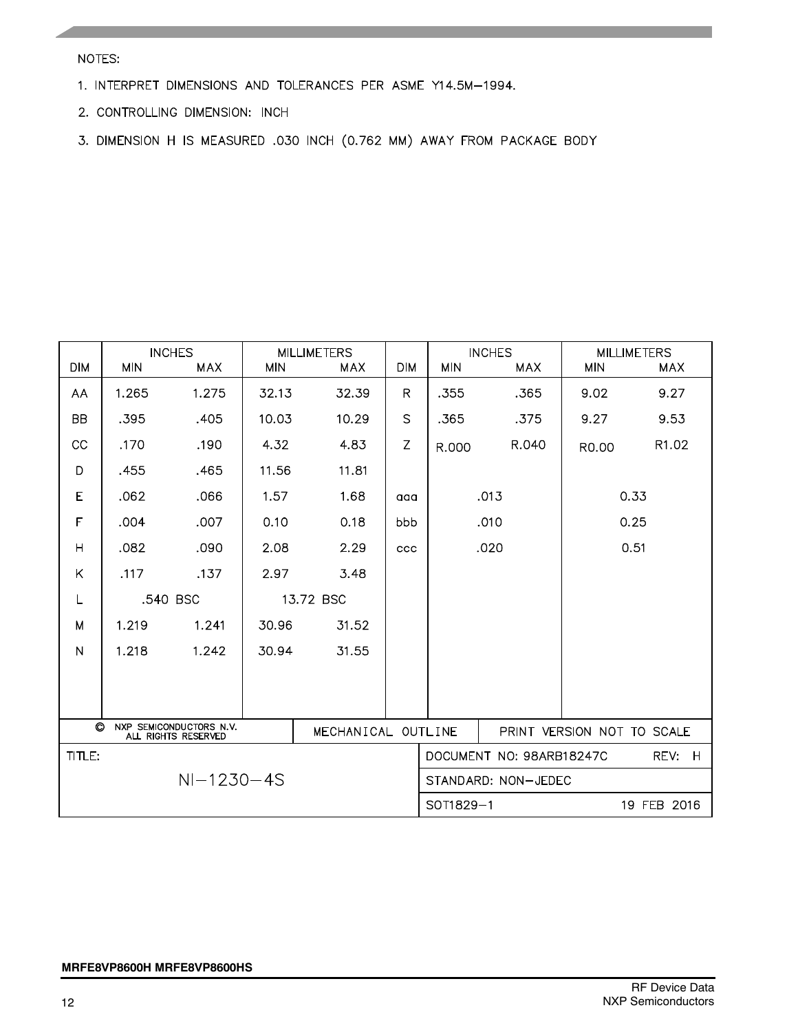NOTES:

- 1. INTERPRET DIMENSIONS AND TOLERANCES PER ASME Y14.5M-1994.
- 2. CONTROLLING DIMENSION: INCH
- 3. DIMENSION H IS MEASURED .030 INCH (0.762 MM) AWAY FROM PACKAGE BODY

| <b>DIM</b>                                                                      | <b>MIN</b> | <b>INCHES</b><br><b>MAX</b> | <b>MIN</b> | <b>MILLIMETERS</b><br><b>MAX</b> | <b>DIM</b>   | <b>INCHES</b><br><b>MIN</b><br><b>MAX</b> |           | <b>MIN</b> | <b>MILLIMETERS</b><br><b>MAX</b> |  |
|---------------------------------------------------------------------------------|------------|-----------------------------|------------|----------------------------------|--------------|-------------------------------------------|-----------|------------|----------------------------------|--|
| AA                                                                              | 1.265      | 1.275                       | 32.13      | 32.39                            | $\mathsf{R}$ | .355                                      | .365      | 9.02       | 9.27                             |  |
| <b>BB</b>                                                                       | .395       | .405                        | 10.03      | 10.29                            | $\mathsf{S}$ | .365                                      | .375      | 9.27       | 9.53                             |  |
| CC                                                                              | .170       | .190                        | 4.32       | 4.83                             | $\mathsf Z$  | R.000                                     | R.040     | R0.00      | R1.02                            |  |
| D                                                                               | .455       | .465                        | 11.56      | 11.81                            |              |                                           |           |            |                                  |  |
| E                                                                               | .062       | .066                        | 1.57       | 1.68                             | aaa          |                                           | .013      | 0.33       |                                  |  |
| F                                                                               | .004       | .007                        | 0.10       | 0.18                             | bbb          |                                           | .010      |            | 0.25                             |  |
| H                                                                               | .082       | .090                        | 2.08       | 2.29                             | ccc          |                                           | .020      |            | 0.51                             |  |
| K                                                                               | .117       | .137                        | 2.97       | 3.48                             |              |                                           |           |            |                                  |  |
| L                                                                               | .540 BSC   |                             | 13.72 BSC  |                                  |              |                                           |           |            |                                  |  |
| М                                                                               | 1.219      | 1.241                       | 30.96      | 31.52                            |              |                                           |           |            |                                  |  |
| $\mathsf{N}$                                                                    | 1.218      | 1.242                       | 30.94      | 31.55                            |              |                                           |           |            |                                  |  |
|                                                                                 |            |                             |            |                                  |              |                                           |           |            |                                  |  |
|                                                                                 |            |                             |            |                                  |              |                                           |           |            |                                  |  |
| $\circ$<br>NXP SEMICONDUCTORS N.V.<br>MECHANICAL OUTLINE<br>ALL RIGHTS RESERVED |            |                             |            | PRINT VERSION NOT TO SCALE       |              |                                           |           |            |                                  |  |
| TITLE:<br>DOCUMENT NO: 98ARB18247C                                              |            |                             |            |                                  |              |                                           | REV:<br>H |            |                                  |  |
| $NI-1230-4S$                                                                    |            |                             |            |                                  |              | STANDARD: NON-JEDEC                       |           |            |                                  |  |
|                                                                                 |            |                             |            |                                  |              | SOT1829-1<br>19 FEB 2016                  |           |            |                                  |  |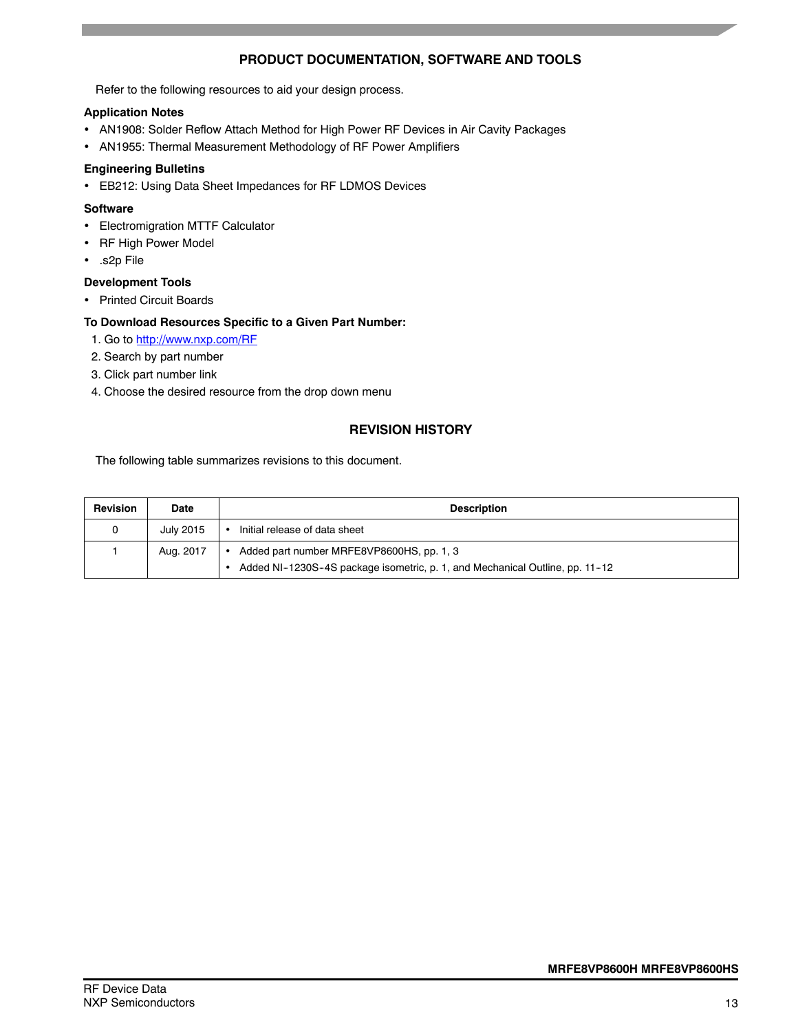### **PRODUCT DOCUMENTATION, SOFTWARE AND TOOLS**

Refer to the following resources to aid your design process.

### **Application Notes**

- AN1908: Solder Reflow Attach Method for High Power RF Devices in Air Cavity Packages
- AN1955: Thermal Measurement Methodology of RF Power Amplifiers

### **Engineering Bulletins**

EB212: Using Data Sheet Impedances for RF LDMOS Devices

### **Software**

- Electromigration MTTF Calculator
- RF High Power Model
- .s2p File

### **Development Tools**

• Printed Circuit Boards

### **To Download Resources Specific to a Given Part Number:**

- 1. Go to http://www.nxp.com/RF
- 2. Search by part number
- 3. Click part number link
- 4. Choose the desired resource from the drop down menu

### **REVISION HISTORY**

The following table summarizes revisions to this document.

| Revision | <b>Date</b> | <b>Description</b>                                                                                                        |  |  |  |
|----------|-------------|---------------------------------------------------------------------------------------------------------------------------|--|--|--|
| 0        | July 2015   | Initial release of data sheet                                                                                             |  |  |  |
|          | Aug. 2017   | Added part number MRFE8VP8600HS, pp. 1, 3<br>Added NI-1230S-4S package isometric, p. 1, and Mechanical Outline, pp. 11-12 |  |  |  |